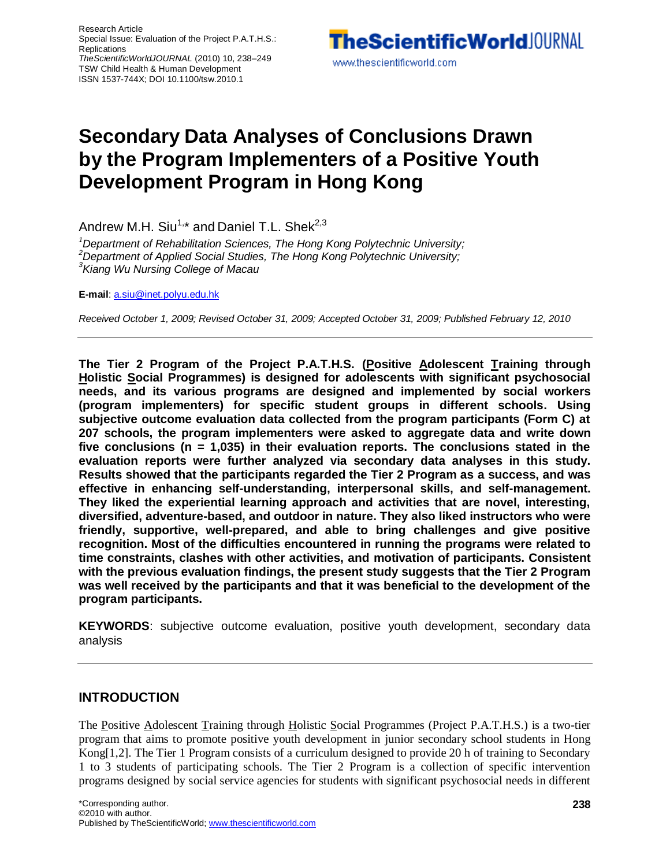Research Article Special Issue: Evaluation of the Project P.A.T.H.S.: **Replications** *TheScientificWorldJOURNAL* (2010) 10, 238–249 TSW Child Health & Human Development ISSN 1537-744X; DOI 10.1100/tsw.2010.1

**TheScientificWorld** | OURNAL www.thescientificworld.com

# **Secondary Data Analyses of Conclusions Drawn by the Program Implementers of a Positive Youth Development Program in Hong Kong**

Andrew M.H. Siu $^{1,\star}$  and Daniel T.L. Shek $^{2,3}$ 

*<sup>1</sup>Department of Rehabilitation Sciences, The Hong Kong Polytechnic University; <sup>2</sup>Department of Applied Social Studies, The Hong Kong Polytechnic University; <sup>3</sup>Kiang Wu Nursing College of Macau*

**E-mail**: [a.siu@inet.polyu.edu.hk](mailto:a.siu@inet.polyu.edu.hk)

*Received October 1, 2009; Revised October 31, 2009; Accepted October 31, 2009; Published February 12, 2010*

**The Tier 2 Program of the Project P.A.T.H.S. (Positive Adolescent Training through Holistic Social Programmes) is designed for adolescents with significant psychosocial needs, and its various programs are designed and implemented by social workers (program implementers) for specific student groups in different schools. Using subjective outcome evaluation data collected from the program participants (Form C) at 207 schools, the program implementers were asked to aggregate data and write down five conclusions (n = 1,035) in their evaluation reports. The conclusions stated in the evaluation reports were further analyzed via secondary data analyses in this study. Results showed that the participants regarded the Tier 2 Program as a success, and was effective in enhancing self-understanding, interpersonal skills, and self-management. They liked the experiential learning approach and activities that are novel, interesting, diversified, adventure-based, and outdoor in nature. They also liked instructors who were friendly, supportive, well-prepared, and able to bring challenges and give positive recognition. Most of the difficulties encountered in running the programs were related to time constraints, clashes with other activities, and motivation of participants. Consistent with the previous evaluation findings, the present study suggests that the Tier 2 Program was well received by the participants and that it was beneficial to the development of the program participants.**

**KEYWORDS**: subjective outcome evaluation, positive youth development, secondary data analysis

#### **INTRODUCTION**

The Positive Adolescent Training through Holistic Social Programmes (Project P.A.T.H.S.) is a two-tier program that aims to promote positive youth development in junior secondary school students in Hong Kong[1,2]. The Tier 1 Program consists of a curriculum designed to provide 20 h of training to Secondary 1 to 3 students of participating schools. The Tier 2 Program is a collection of specific intervention programs designed by social service agencies for students with significant psychosocial needs in different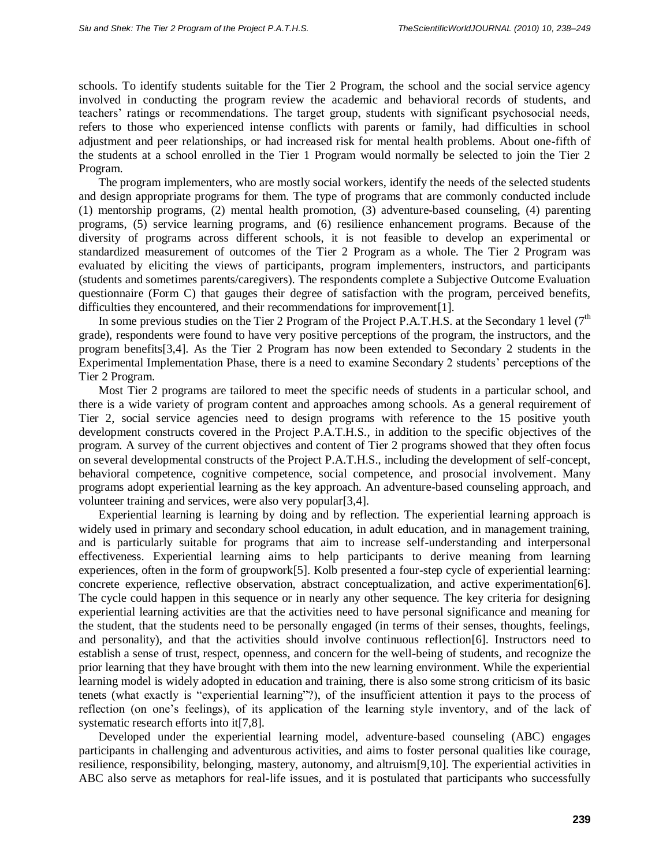schools. To identify students suitable for the Tier 2 Program, the school and the social service agency involved in conducting the program review the academic and behavioral records of students, and teachers' ratings or recommendations. The target group, students with significant psychosocial needs, refers to those who experienced intense conflicts with parents or family, had difficulties in school adjustment and peer relationships, or had increased risk for mental health problems. About one-fifth of the students at a school enrolled in the Tier 1 Program would normally be selected to join the Tier 2 Program.

The program implementers, who are mostly social workers, identify the needs of the selected students and design appropriate programs for them. The type of programs that are commonly conducted include (1) mentorship programs, (2) mental health promotion, (3) adventure-based counseling, (4) parenting programs, (5) service learning programs, and (6) resilience enhancement programs. Because of the diversity of programs across different schools, it is not feasible to develop an experimental or standardized measurement of outcomes of the Tier 2 Program as a whole. The Tier 2 Program was evaluated by eliciting the views of participants, program implementers, instructors, and participants (students and sometimes parents/caregivers). The respondents complete a Subjective Outcome Evaluation questionnaire (Form C) that gauges their degree of satisfaction with the program, perceived benefits, difficulties they encountered, and their recommendations for improvement[1].

In some previous studies on the Tier 2 Program of the Project P.A.T.H.S. at the Secondary 1 level  $(7<sup>th</sup>$ grade), respondents were found to have very positive perceptions of the program, the instructors, and the program benefits[3,4]. As the Tier 2 Program has now been extended to Secondary 2 students in the Experimental Implementation Phase, there is a need to examine Secondary 2 students' perceptions of the Tier 2 Program.

Most Tier 2 programs are tailored to meet the specific needs of students in a particular school, and there is a wide variety of program content and approaches among schools. As a general requirement of Tier 2, social service agencies need to design programs with reference to the 15 positive youth development constructs covered in the Project P.A.T.H.S., in addition to the specific objectives of the program. A survey of the current objectives and content of Tier 2 programs showed that they often focus on several developmental constructs of the Project P.A.T.H.S., including the development of self-concept, behavioral competence, cognitive competence, social competence, and prosocial involvement. Many programs adopt experiential learning as the key approach. An adventure-based counseling approach, and volunteer training and services, were also very popular[3,4].

Experiential learning is learning by doing and by reflection. The experiential learning approach is widely used in primary and secondary school education, in adult education, and in management training, and is particularly suitable for programs that aim to increase self-understanding and interpersonal effectiveness. Experiential learning aims to help participants to derive meaning from learning experiences, often in the form of groupwork[5]. Kolb presented a four-step cycle of experiential learning: concrete experience, reflective observation, abstract conceptualization, and active experimentation[6]. The cycle could happen in this sequence or in nearly any other sequence. The key criteria for designing experiential learning activities are that the activities need to have personal significance and meaning for the student, that the students need to be personally engaged (in terms of their senses, thoughts, feelings, and personality), and that the activities should involve continuous reflection[6]. Instructors need to establish a sense of trust, respect, openness, and concern for the well-being of students, and recognize the prior learning that they have brought with them into the new learning environment. While the experiential learning model is widely adopted in education and training, there is also some strong criticism of its basic tenets (what exactly is "experiential learning"?), of the insufficient attention it pays to the process of reflection (on one's feelings), of its application of the learning style inventory, and of the lack of systematic research efforts into it[7,8].

Developed under the experiential learning model, adventure-based counseling (ABC) engages participants in challenging and adventurous activities, and aims to foster personal qualities like courage, resilience, responsibility, belonging, mastery, autonomy, and altruism[9,10]. The experiential activities in ABC also serve as metaphors for real-life issues, and it is postulated that participants who successfully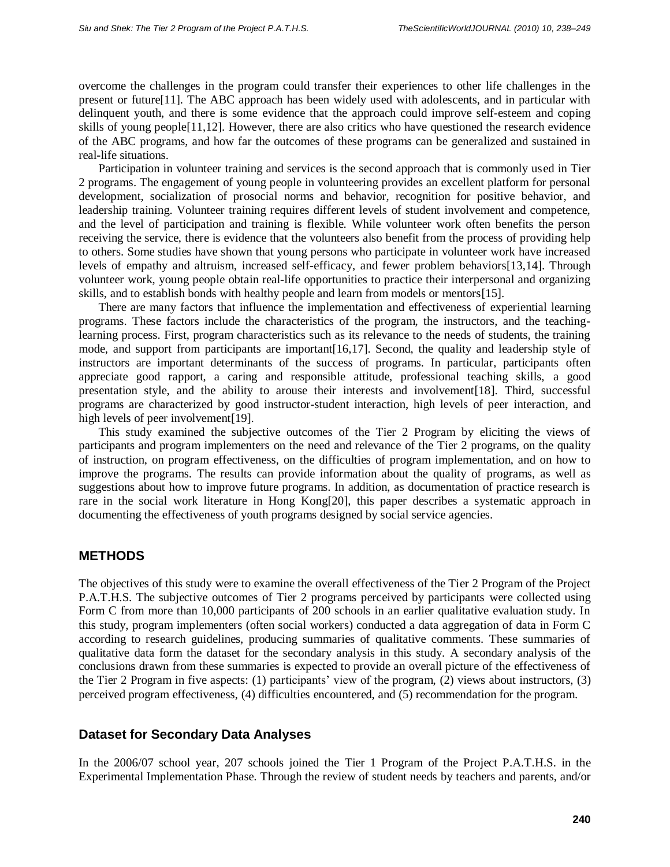overcome the challenges in the program could transfer their experiences to other life challenges in the present or future[11]. The ABC approach has been widely used with adolescents, and in particular with delinquent youth, and there is some evidence that the approach could improve self-esteem and coping skills of young people[11,12]. However, there are also critics who have questioned the research evidence of the ABC programs, and how far the outcomes of these programs can be generalized and sustained in real-life situations.

Participation in volunteer training and services is the second approach that is commonly used in Tier 2 programs. The engagement of young people in volunteering provides an excellent platform for personal development, socialization of prosocial norms and behavior, recognition for positive behavior, and leadership training. Volunteer training requires different levels of student involvement and competence, and the level of participation and training is flexible. While volunteer work often benefits the person receiving the service, there is evidence that the volunteers also benefit from the process of providing help to others. Some studies have shown that young persons who participate in volunteer work have increased levels of empathy and altruism, increased self-efficacy, and fewer problem behaviors[13,14]. Through volunteer work, young people obtain real-life opportunities to practice their interpersonal and organizing skills, and to establish bonds with healthy people and learn from models or mentors[15].

There are many factors that influence the implementation and effectiveness of experiential learning programs. These factors include the characteristics of the program, the instructors, and the teachinglearning process. First, program characteristics such as its relevance to the needs of students, the training mode, and support from participants are important[16,17]. Second, the quality and leadership style of instructors are important determinants of the success of programs. In particular, participants often appreciate good rapport, a caring and responsible attitude, professional teaching skills, a good presentation style, and the ability to arouse their interests and involvement[18]. Third, successful programs are characterized by good instructor-student interaction, high levels of peer interaction, and high levels of peer involvement[19].

This study examined the subjective outcomes of the Tier 2 Program by eliciting the views of participants and program implementers on the need and relevance of the Tier 2 programs, on the quality of instruction, on program effectiveness, on the difficulties of program implementation, and on how to improve the programs. The results can provide information about the quality of programs, as well as suggestions about how to improve future programs. In addition, as documentation of practice research is rare in the social work literature in Hong Kong[20], this paper describes a systematic approach in documenting the effectiveness of youth programs designed by social service agencies.

# **METHODS**

The objectives of this study were to examine the overall effectiveness of the Tier 2 Program of the Project P.A.T.H.S. The subjective outcomes of Tier 2 programs perceived by participants were collected using Form C from more than 10,000 participants of 200 schools in an earlier qualitative evaluation study. In this study, program implementers (often social workers) conducted a data aggregation of data in Form C according to research guidelines, producing summaries of qualitative comments. These summaries of qualitative data form the dataset for the secondary analysis in this study. A secondary analysis of the conclusions drawn from these summaries is expected to provide an overall picture of the effectiveness of the Tier 2 Program in five aspects: (1) participants' view of the program, (2) views about instructors, (3) perceived program effectiveness, (4) difficulties encountered, and (5) recommendation for the program.

# **Dataset for Secondary Data Analyses**

In the 2006/07 school year, 207 schools joined the Tier 1 Program of the Project P.A.T.H.S. in the Experimental Implementation Phase. Through the review of student needs by teachers and parents, and/or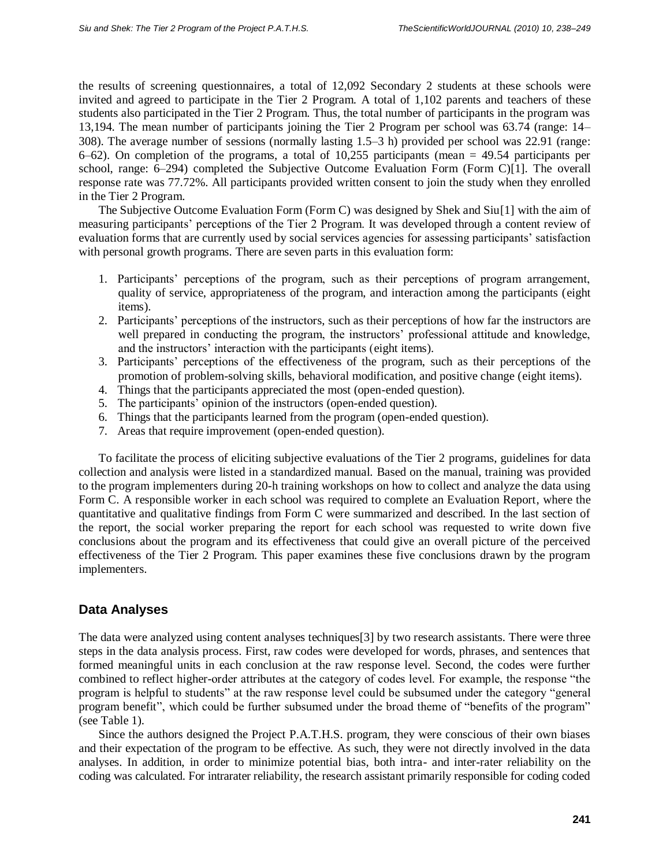the results of screening questionnaires, a total of 12,092 Secondary 2 students at these schools were invited and agreed to participate in the Tier 2 Program. A total of 1,102 parents and teachers of these students also participated in the Tier 2 Program. Thus, the total number of participants in the program was 13,194. The mean number of participants joining the Tier 2 Program per school was 63.74 (range: 14– 308). The average number of sessions (normally lasting 1.5–3 h) provided per school was 22.91 (range:  $6-62$ ). On completion of the programs, a total of 10,255 participants (mean  $= 49.54$  participants per school, range: 6–294) completed the Subjective Outcome Evaluation Form (Form C)[1]. The overall response rate was 77.72%. All participants provided written consent to join the study when they enrolled in the Tier 2 Program.

The Subjective Outcome Evaluation Form (Form C) was designed by Shek and Siu[1] with the aim of measuring participants' perceptions of the Tier 2 Program. It was developed through a content review of evaluation forms that are currently used by social services agencies for assessing participants' satisfaction with personal growth programs. There are seven parts in this evaluation form:

- 1. Participants' perceptions of the program, such as their perceptions of program arrangement, quality of service, appropriateness of the program, and interaction among the participants (eight items).
- 2. Participants' perceptions of the instructors, such as their perceptions of how far the instructors are well prepared in conducting the program, the instructors' professional attitude and knowledge, and the instructors' interaction with the participants (eight items).
- 3. Participants' perceptions of the effectiveness of the program, such as their perceptions of the promotion of problem-solving skills, behavioral modification, and positive change (eight items).
- 4. Things that the participants appreciated the most (open-ended question).
- 5. The participants' opinion of the instructors (open-ended question).
- 6. Things that the participants learned from the program (open-ended question).
- 7. Areas that require improvement (open-ended question).

To facilitate the process of eliciting subjective evaluations of the Tier 2 programs, guidelines for data collection and analysis were listed in a standardized manual. Based on the manual, training was provided to the program implementers during 20-h training workshops on how to collect and analyze the data using Form C. A responsible worker in each school was required to complete an Evaluation Report, where the quantitative and qualitative findings from Form C were summarized and described. In the last section of the report, the social worker preparing the report for each school was requested to write down five conclusions about the program and its effectiveness that could give an overall picture of the perceived effectiveness of the Tier 2 Program. This paper examines these five conclusions drawn by the program implementers.

# **Data Analyses**

The data were analyzed using content analyses techniques[3] by two research assistants. There were three steps in the data analysis process. First, raw codes were developed for words, phrases, and sentences that formed meaningful units in each conclusion at the raw response level. Second, the codes were further combined to reflect higher-order attributes at the category of codes level. For example, the response "the program is helpful to students" at the raw response level could be subsumed under the category "general program benefit", which could be further subsumed under the broad theme of "benefits of the program" (see Table 1).

Since the authors designed the Project P.A.T.H.S. program, they were conscious of their own biases and their expectation of the program to be effective. As such, they were not directly involved in the data analyses. In addition, in order to minimize potential bias, both intra- and inter-rater reliability on the coding was calculated. For intrarater reliability, the research assistant primarily responsible for coding coded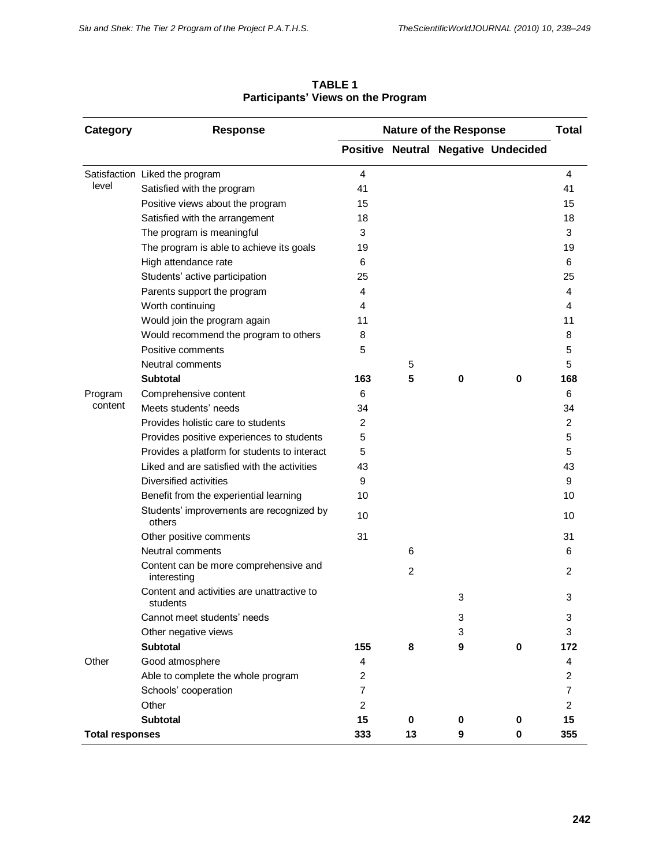| Category               | <b>Response</b>                                        |                | <b>Nature of the Response</b> | <b>Total</b> |                                     |                |
|------------------------|--------------------------------------------------------|----------------|-------------------------------|--------------|-------------------------------------|----------------|
|                        |                                                        |                |                               |              | Positive Neutral Negative Undecided |                |
|                        | Satisfaction Liked the program                         | 4              |                               |              |                                     | $\overline{4}$ |
| level                  | Satisfied with the program                             | 41             |                               |              |                                     | 41             |
|                        | Positive views about the program                       | 15             |                               |              |                                     | 15             |
|                        | Satisfied with the arrangement                         | 18             |                               |              |                                     | 18             |
|                        | The program is meaningful                              | 3              |                               |              |                                     | 3              |
|                        | The program is able to achieve its goals               | 19             |                               |              |                                     | 19             |
|                        | High attendance rate                                   | 6              |                               |              |                                     | 6              |
|                        | Students' active participation                         | 25             |                               |              |                                     | 25             |
|                        | Parents support the program                            | 4              |                               |              |                                     | 4              |
|                        | Worth continuing                                       | 4              |                               |              |                                     | 4              |
|                        | Would join the program again                           | 11             |                               |              |                                     | 11             |
|                        | Would recommend the program to others                  | 8              |                               |              |                                     | 8              |
|                        | Positive comments                                      | 5              |                               |              |                                     | 5              |
|                        | Neutral comments                                       |                | 5                             |              |                                     | 5              |
|                        | Subtotal                                               | 163            | 5                             | 0            | 0                                   | 168            |
| Program                | Comprehensive content                                  | 6              |                               |              |                                     | 6              |
| content                | Meets students' needs                                  | 34             |                               |              |                                     | 34             |
|                        | Provides holistic care to students                     | 2              |                               |              |                                     | 2              |
|                        | Provides positive experiences to students              | 5              |                               |              |                                     | 5              |
|                        | Provides a platform for students to interact           | 5              |                               |              |                                     | 5              |
|                        | Liked and are satisfied with the activities            | 43             |                               |              |                                     | 43             |
|                        | Diversified activities                                 | 9              |                               |              |                                     | 9              |
|                        | Benefit from the experiential learning                 | 10             |                               |              |                                     | 10             |
|                        | Students' improvements are recognized by<br>others     | 10             |                               |              |                                     | 10             |
|                        | Other positive comments                                | 31             |                               |              |                                     | 31             |
|                        | Neutral comments                                       |                | 6                             |              |                                     | 6              |
|                        | Content can be more comprehensive and<br>interesting   |                | $\overline{2}$                |              |                                     | $\overline{2}$ |
|                        | Content and activities are unattractive to<br>students |                |                               | 3            |                                     | 3              |
|                        | Cannot meet students' needs                            |                |                               | 3            |                                     | 3              |
|                        | Other negative views                                   |                |                               | 3            |                                     | 3              |
|                        | <b>Subtotal</b>                                        | 155            | 8                             | 9            | $\mathbf 0$                         | 172            |
| Other                  | Good atmosphere                                        | 4              |                               |              |                                     | 4              |
|                        | Able to complete the whole program                     | $\overline{c}$ |                               |              |                                     | 2              |
|                        | Schools' cooperation                                   | $\overline{7}$ |                               |              |                                     | 7              |
|                        | Other                                                  | $\overline{c}$ |                               |              |                                     | $\overline{c}$ |
|                        | <b>Subtotal</b>                                        | 15             | 0                             | 0            | 0                                   | 15             |
| <b>Total responses</b> |                                                        | 333            | 13                            | 9            | 0                                   | 355            |

**TABLE 1 Participants' Views on the Program**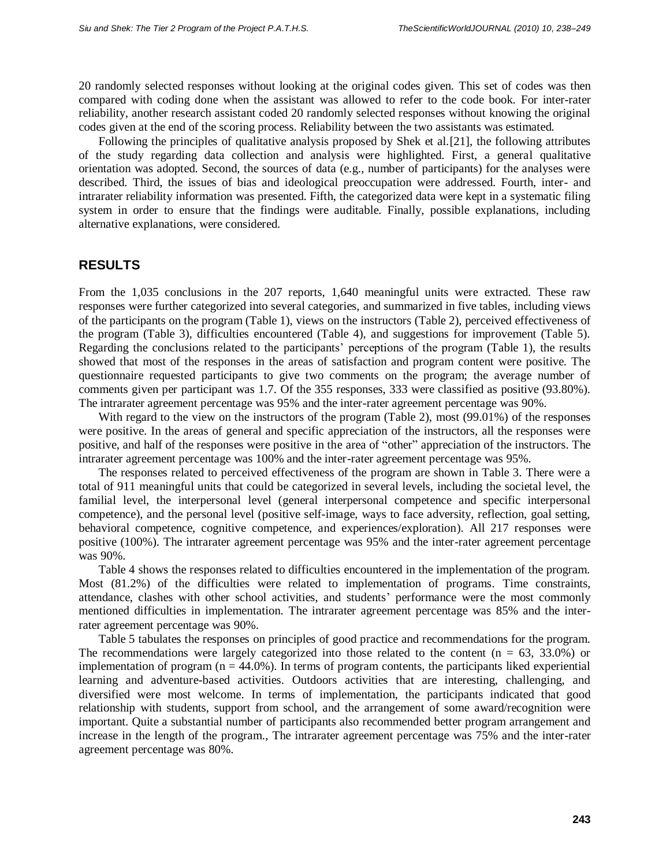20 randomly selected responses without looking at the original codes given. This set of codes was then compared with coding done when the assistant was allowed to refer to the code book. For inter-rater reliability, another research assistant coded 20 randomly selected responses without knowing the original codes given at the end of the scoring process. Reliability between the two assistants was estimated.

Following the principles of qualitative analysis proposed by Shek et al.[21], the following attributes of the study regarding data collection and analysis were highlighted. First, a general qualitative orientation was adopted. Second, the sources of data (e.g., number of participants) for the analyses were described. Third, the issues of bias and ideological preoccupation were addressed. Fourth, inter- and intrarater reliability information was presented. Fifth, the categorized data were kept in a systematic filing system in order to ensure that the findings were auditable. Finally, possible explanations, including alternative explanations, were considered.

#### **RESULTS**

From the 1,035 conclusions in the 207 reports, 1,640 meaningful units were extracted. These raw responses were further categorized into several categories, and summarized in five tables, including views of the participants on the program (Table 1), views on the instructors (Table 2), perceived effectiveness of the program (Table 3), difficulties encountered (Table 4), and suggestions for improvement (Table 5). Regarding the conclusions related to the participants' perceptions of the program (Table 1), the results showed that most of the responses in the areas of satisfaction and program content were positive. The questionnaire requested participants to give two comments on the program; the average number of comments given per participant was 1.7. Of the 355 responses, 333 were classified as positive (93.80%). The intrarater agreement percentage was 95% and the inter-rater agreement percentage was 90%.

With regard to the view on the instructors of the program (Table 2), most (99.01%) of the responses were positive. In the areas of general and specific appreciation of the instructors, all the responses were positive, and half of the responses were positive in the area of "other" appreciation of the instructors. The intrarater agreement percentage was 100% and the inter-rater agreement percentage was 95%.

The responses related to perceived effectiveness of the program are shown in Table 3. There were a total of 911 meaningful units that could be categorized in several levels, including the societal level, the familial level, the interpersonal level (general interpersonal competence and specific interpersonal competence), and the personal level (positive self-image, ways to face adversity, reflection, goal setting, behavioral competence, cognitive competence, and experiences/exploration). All 217 responses were positive (100%). The intrarater agreement percentage was 95% and the inter-rater agreement percentage was 90%.

Table 4 shows the responses related to difficulties encountered in the implementation of the program. Most (81.2%) of the difficulties were related to implementation of programs. Time constraints, attendance, clashes with other school activities, and students' performance were the most commonly mentioned difficulties in implementation. The intrarater agreement percentage was 85% and the interrater agreement percentage was 90%.

Table 5 tabulates the responses on principles of good practice and recommendations for the program. The recommendations were largely categorized into those related to the content  $(n = 63, 33.0%)$  or implementation of program  $(n = 44.0\%)$ . In terms of program contents, the participants liked experiential learning and adventure-based activities. Outdoors activities that are interesting, challenging, and diversified were most welcome. In terms of implementation, the participants indicated that good relationship with students, support from school, and the arrangement of some award/recognition were important. Quite a substantial number of participants also recommended better program arrangement and increase in the length of the program., The intrarater agreement percentage was 75% and the inter-rater agreement percentage was 80%.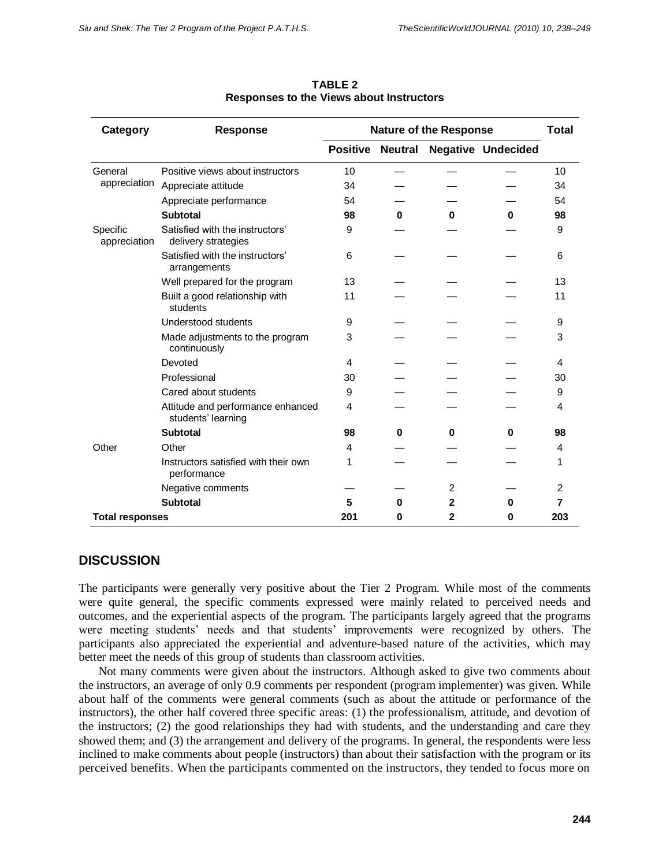| Category                 | <b>Response</b>                                         | <b>Nature of the Response</b> |          |                |                           | <b>Total</b>   |
|--------------------------|---------------------------------------------------------|-------------------------------|----------|----------------|---------------------------|----------------|
|                          |                                                         | <b>Positive Neutral</b>       |          |                | <b>Negative Undecided</b> |                |
| General                  | Positive views about instructors                        | 10                            |          |                |                           | 10             |
| appreciation             | Appreciate attitude                                     | 34                            |          |                |                           | 34             |
|                          | Appreciate performance                                  | 54                            |          |                |                           | 54             |
|                          | <b>Subtotal</b>                                         | 98                            | $\bf{0}$ | 0              | 0                         | 98             |
| Specific<br>appreciation | Satisfied with the instructors'<br>delivery strategies  | 9                             |          |                |                           | 9              |
|                          | Satisfied with the instructors'<br>arrangements         | 6                             |          |                |                           | 6              |
|                          | Well prepared for the program                           | 13                            |          |                |                           | 13             |
|                          | Built a good relationship with<br>students              | 11                            |          |                |                           | 11             |
|                          | Understood students                                     | 9                             |          |                |                           | 9              |
|                          | Made adjustments to the program<br>continuously         | 3                             |          |                |                           | 3              |
|                          | Devoted                                                 | 4                             |          |                |                           | 4              |
|                          | Professional                                            | 30                            |          |                |                           | 30             |
|                          | Cared about students                                    | 9                             |          |                |                           | 9              |
|                          | Attitude and performance enhanced<br>students' learning | 4                             |          |                |                           | 4              |
|                          | <b>Subtotal</b>                                         | 98                            | 0        | $\bf{0}$       | 0                         | 98             |
| Other                    | Other                                                   | 4                             |          |                |                           | 4              |
|                          | Instructors satisfied with their own<br>performance     | 1                             |          |                |                           | 1              |
|                          | Negative comments                                       |                               |          | $\overline{2}$ |                           | $\overline{2}$ |
|                          | <b>Subtotal</b>                                         | 5                             | $\bf{0}$ | $\mathbf{2}$   | 0                         | 7              |
| <b>Total responses</b>   |                                                         | 201                           | 0        | $\mathbf{2}$   | 0                         | 203            |

**TABLE 2 Responses to the Views about Instructors**

# **DISCUSSION**

The participants were generally very positive about the Tier 2 Program. While most of the comments were quite general, the specific comments expressed were mainly related to perceived needs and outcomes, and the experiential aspects of the program. The participants largely agreed that the programs were meeting students' needs and that students' improvements were recognized by others. The participants also appreciated the experiential and adventure-based nature of the activities, which may better meet the needs of this group of students than classroom activities.

Not many comments were given about the instructors. Although asked to give two comments about the instructors, an average of only 0.9 comments per respondent (program implementer) was given. While about half of the comments were general comments (such as about the attitude or performance of the instructors), the other half covered three specific areas: (1) the professionalism, attitude, and devotion of the instructors; (2) the good relationships they had with students, and the understanding and care they showed them; and (3) the arrangement and delivery of the programs. In general, the respondents were less inclined to make comments about people (instructors) than about their satisfaction with the program or its perceived benefits. When the participants commented on the instructors, they tended to focus more on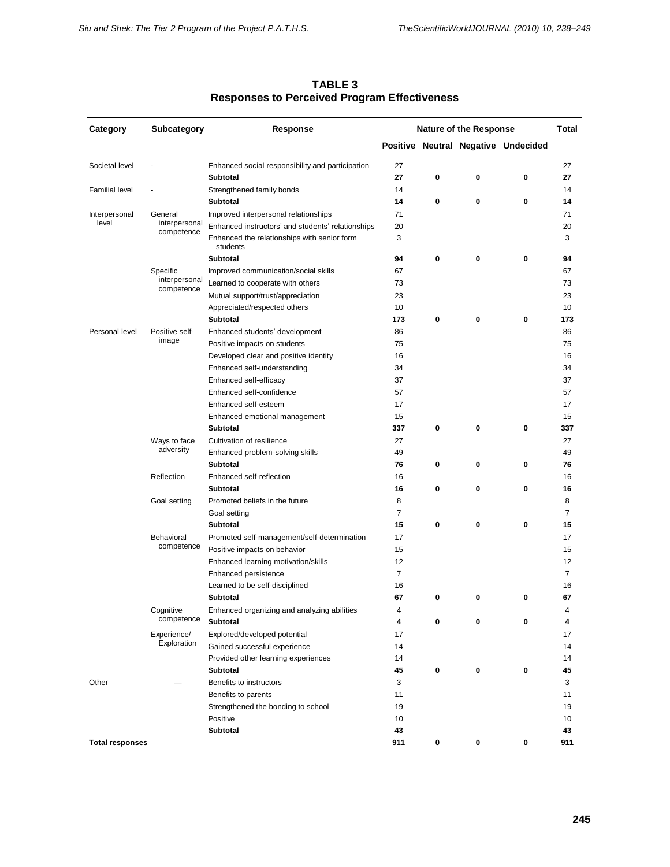| Category               | Subcategory                | Response                                                | <b>Nature of the Response</b> |   | Total |                                     |                |
|------------------------|----------------------------|---------------------------------------------------------|-------------------------------|---|-------|-------------------------------------|----------------|
|                        |                            |                                                         |                               |   |       | Positive Neutral Negative Undecided |                |
| Societal level         | ä,                         | Enhanced social responsibility and participation        | 27                            |   |       |                                     | 27             |
|                        |                            | Subtotal                                                | 27                            | 0 | 0     | 0                                   | 27             |
| <b>Familial level</b>  |                            | Strengthened family bonds                               | 14                            |   |       |                                     | 14             |
|                        |                            | Subtotal                                                | 14                            | 0 | 0     | 0                                   | 14             |
| Interpersonal          | General                    | Improved interpersonal relationships                    | 71                            |   |       |                                     | 71             |
| level                  | interpersonal              | Enhanced instructors' and students' relationships       | 20                            |   |       |                                     | 20             |
|                        | competence                 | Enhanced the relationships with senior form<br>students | 3                             |   |       |                                     | 3              |
|                        |                            | <b>Subtotal</b>                                         | 94                            | 0 | 0     | 0                                   | 94             |
|                        | Specific                   | Improved communication/social skills                    | 67                            |   |       |                                     | 67             |
|                        | interpersonal              | Learned to cooperate with others                        | 73                            |   |       |                                     | 73             |
|                        | competence                 | Mutual support/trust/appreciation                       | 23                            |   |       |                                     | 23             |
|                        |                            | Appreciated/respected others                            | 10                            |   |       |                                     | 10             |
|                        |                            | <b>Subtotal</b>                                         | 173                           | 0 | 0     | 0                                   | 173            |
| Personal level         | Positive self-             | Enhanced students' development                          | 86                            |   |       | 0<br>0<br>0<br>0<br>0<br>0          | 86             |
|                        | image                      | Positive impacts on students                            | 75                            |   |       |                                     | 75             |
|                        |                            | Developed clear and positive identity                   | 16                            |   |       |                                     | 16             |
|                        |                            | Enhanced self-understanding                             | 34                            |   |       |                                     | 34             |
|                        |                            | Enhanced self-efficacy                                  | 37                            |   |       |                                     | 37             |
|                        |                            | Enhanced self-confidence                                | 57                            |   |       |                                     | 57             |
|                        |                            | Enhanced self-esteem                                    | 17                            |   |       |                                     | 17             |
|                        |                            | Enhanced emotional management                           | 15                            |   |       |                                     | 15             |
|                        |                            | <b>Subtotal</b>                                         | 337                           | 0 | 0     |                                     | 337            |
|                        | Ways to face               | Cultivation of resilience                               | 27                            |   |       |                                     | 27             |
|                        | adversity                  | Enhanced problem-solving skills                         | 49                            |   |       |                                     | 49             |
|                        |                            | <b>Subtotal</b>                                         | 76                            | 0 | 0     |                                     | 76             |
|                        | Reflection                 | Enhanced self-reflection                                | 16                            |   |       |                                     | 16             |
|                        |                            | <b>Subtotal</b>                                         | 16                            | 0 | 0     |                                     | 16             |
|                        | Goal setting               | Promoted beliefs in the future                          | 8                             |   |       |                                     | 8              |
|                        |                            | Goal setting                                            | 7                             |   |       |                                     | 7              |
|                        |                            | Subtotal                                                | 15                            | 0 | 0     |                                     | 15             |
|                        | Behavioral                 | Promoted self-management/self-determination             | 17                            |   |       |                                     | 17             |
|                        | competence                 | Positive impacts on behavior                            | 15                            |   |       |                                     | 15             |
|                        |                            | Enhanced learning motivation/skills                     | 12                            |   |       |                                     | 12             |
|                        |                            | Enhanced persistence                                    | $\overline{7}$                |   |       |                                     | $\overline{7}$ |
|                        |                            | Learned to be self-disciplined                          | 16                            |   |       |                                     | 16             |
|                        |                            | Subtotal                                                | 67                            | 0 | 0     |                                     | 67             |
|                        | Cognitive                  | Enhanced organizing and analyzing abilities             | 4                             |   |       |                                     | 4              |
|                        | competence                 | Subtotal                                                | 4                             | 0 | 0     |                                     | 4              |
|                        | Experience/<br>Exploration | Explored/developed potential                            | 17                            |   |       |                                     | 17             |
|                        |                            | Gained successful experience                            | 14                            |   |       |                                     | 14             |
|                        |                            | Provided other learning experiences                     | 14                            |   |       |                                     | 14             |
|                        |                            | <b>Subtotal</b>                                         | 45                            | 0 | 0     | $\pmb{0}$                           | 45             |
| Other                  |                            | Benefits to instructors                                 | 3                             |   |       |                                     | 3              |
|                        |                            | Benefits to parents                                     | 11                            |   |       |                                     | 11             |
|                        |                            | Strengthened the bonding to school                      | 19                            |   |       |                                     | 19             |
|                        |                            | Positive                                                | 10                            |   |       |                                     | 10             |
|                        |                            | <b>Subtotal</b>                                         | 43                            |   |       |                                     | 43             |
| <b>Total responses</b> |                            | 911                                                     | 0                             | 0 | 0     | 911                                 |                |

**TABLE 3 Responses to Perceived Program Effectiveness**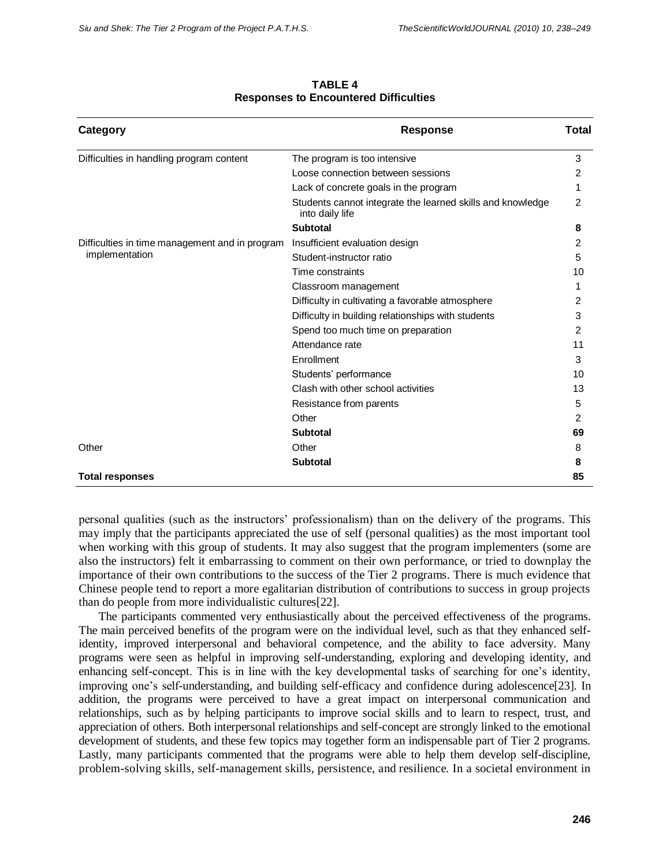| Category                                       | <b>Response</b>                                                               | <b>Total</b>   |
|------------------------------------------------|-------------------------------------------------------------------------------|----------------|
| Difficulties in handling program content       | The program is too intensive                                                  | 3              |
|                                                | Loose connection between sessions                                             | 2              |
|                                                | Lack of concrete goals in the program                                         |                |
|                                                | Students cannot integrate the learned skills and knowledge<br>into daily life | $\overline{c}$ |
|                                                | <b>Subtotal</b>                                                               | 8              |
| Difficulties in time management and in program | Insufficient evaluation design                                                |                |
| implementation                                 | Student-instructor ratio                                                      | 5              |
|                                                | Time constraints                                                              | 10             |
|                                                | Classroom management                                                          | 1              |
|                                                | Difficulty in cultivating a favorable atmosphere                              | 2              |
|                                                | Difficulty in building relationships with students                            | 3              |
|                                                | Spend too much time on preparation                                            | 2              |
|                                                | Attendance rate                                                               | 11             |
|                                                | Enrollment                                                                    | 3              |
|                                                | Students' performance                                                         | 10             |
|                                                | Clash with other school activities                                            | 13             |
|                                                | Resistance from parents                                                       | 5              |
|                                                | Other                                                                         | 2              |
|                                                | <b>Subtotal</b>                                                               | 69             |
| Other                                          | Other                                                                         | 8              |
|                                                | <b>Subtotal</b>                                                               | 8              |
| <b>Total responses</b>                         |                                                                               | 85             |

**TABLE 4 Responses to Encountered Difficulties**

personal qualities (such as the instructors' professionalism) than on the delivery of the programs. This may imply that the participants appreciated the use of self (personal qualities) as the most important tool when working with this group of students. It may also suggest that the program implementers (some are also the instructors) felt it embarrassing to comment on their own performance, or tried to downplay the importance of their own contributions to the success of the Tier 2 programs. There is much evidence that Chinese people tend to report a more egalitarian distribution of contributions to success in group projects than do people from more individualistic cultures[22].

The participants commented very enthusiastically about the perceived effectiveness of the programs. The main perceived benefits of the program were on the individual level, such as that they enhanced selfidentity, improved interpersonal and behavioral competence, and the ability to face adversity. Many programs were seen as helpful in improving self-understanding, exploring and developing identity, and enhancing self-concept. This is in line with the key developmental tasks of searching for one's identity, improving one's self-understanding, and building self-efficacy and confidence during adolescence[23]. In addition, the programs were perceived to have a great impact on interpersonal communication and relationships, such as by helping participants to improve social skills and to learn to respect, trust, and appreciation of others. Both interpersonal relationships and self-concept are strongly linked to the emotional development of students, and these few topics may together form an indispensable part of Tier 2 programs. Lastly, many participants commented that the programs were able to help them develop self-discipline, problem-solving skills, self-management skills, persistence, and resilience. In a societal environment in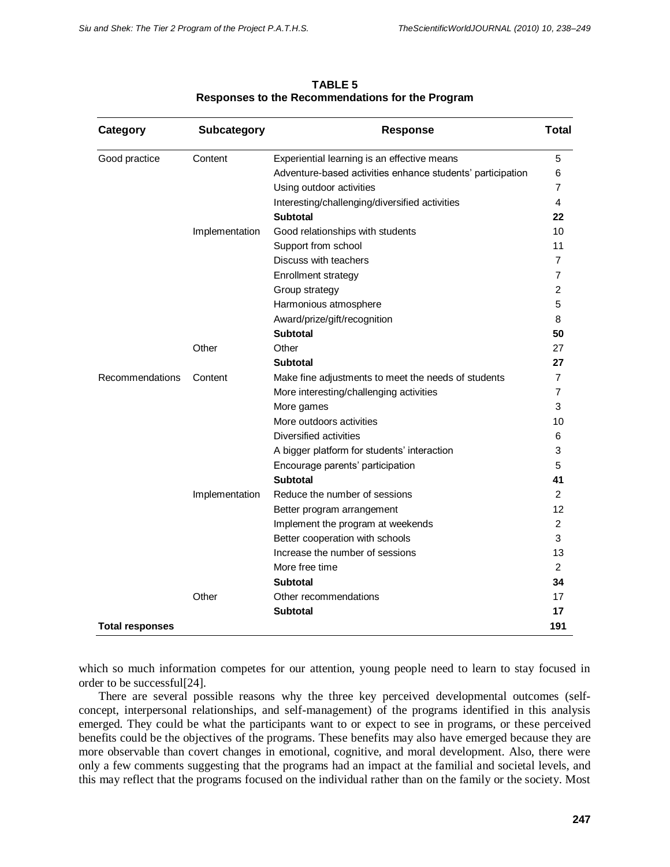| Category               | <b>Subcategory</b> | <b>Response</b>                                            | <b>Total</b>   |  |  |  |  |
|------------------------|--------------------|------------------------------------------------------------|----------------|--|--|--|--|
| Good practice          | Content            | Experiential learning is an effective means                | 5              |  |  |  |  |
|                        |                    | Adventure-based activities enhance students' participation | 6              |  |  |  |  |
|                        |                    | Using outdoor activities                                   | 7              |  |  |  |  |
|                        |                    | Interesting/challenging/diversified activities             | 4              |  |  |  |  |
|                        |                    | <b>Subtotal</b>                                            | 22             |  |  |  |  |
|                        | Implementation     | Good relationships with students                           |                |  |  |  |  |
|                        |                    | Support from school                                        | 11             |  |  |  |  |
|                        |                    | Discuss with teachers                                      | 7              |  |  |  |  |
|                        |                    | Enrollment strategy                                        | 7              |  |  |  |  |
|                        |                    | Group strategy                                             | $\overline{2}$ |  |  |  |  |
|                        |                    | Harmonious atmosphere                                      | 5              |  |  |  |  |
|                        |                    | Award/prize/gift/recognition                               | 8              |  |  |  |  |
|                        |                    | <b>Subtotal</b>                                            | 50             |  |  |  |  |
|                        | Other              | Other                                                      | 27             |  |  |  |  |
|                        |                    | <b>Subtotal</b>                                            | 27             |  |  |  |  |
| Recommendations        | Content            | Make fine adjustments to meet the needs of students        | 7              |  |  |  |  |
|                        |                    | More interesting/challenging activities                    | 7              |  |  |  |  |
|                        |                    | More games                                                 | 3              |  |  |  |  |
|                        |                    | More outdoors activities                                   | 10             |  |  |  |  |
|                        |                    | Diversified activities                                     | 6              |  |  |  |  |
|                        |                    | A bigger platform for students' interaction                | 3              |  |  |  |  |
|                        |                    | Encourage parents' participation                           | 5              |  |  |  |  |
|                        |                    | <b>Subtotal</b>                                            | 41             |  |  |  |  |
|                        | Implementation     | Reduce the number of sessions                              | $\overline{2}$ |  |  |  |  |
|                        |                    | Better program arrangement                                 | 12             |  |  |  |  |
|                        |                    | Implement the program at weekends                          | $\overline{c}$ |  |  |  |  |
|                        |                    | Better cooperation with schools                            | 3              |  |  |  |  |
|                        |                    | Increase the number of sessions                            | 13             |  |  |  |  |
|                        |                    | More free time                                             | 2              |  |  |  |  |
|                        |                    | <b>Subtotal</b>                                            | 34             |  |  |  |  |
|                        | Other              | Other recommendations                                      | 17             |  |  |  |  |
|                        |                    | <b>Subtotal</b>                                            | 17             |  |  |  |  |
| <b>Total responses</b> |                    |                                                            | 191            |  |  |  |  |

**TABLE 5 Responses to the Recommendations for the Program**

which so much information competes for our attention, young people need to learn to stay focused in order to be successful[24].

There are several possible reasons why the three key perceived developmental outcomes (selfconcept, interpersonal relationships, and self-management) of the programs identified in this analysis emerged. They could be what the participants want to or expect to see in programs, or these perceived benefits could be the objectives of the programs. These benefits may also have emerged because they are more observable than covert changes in emotional, cognitive, and moral development. Also, there were only a few comments suggesting that the programs had an impact at the familial and societal levels, and this may reflect that the programs focused on the individual rather than on the family or the society. Most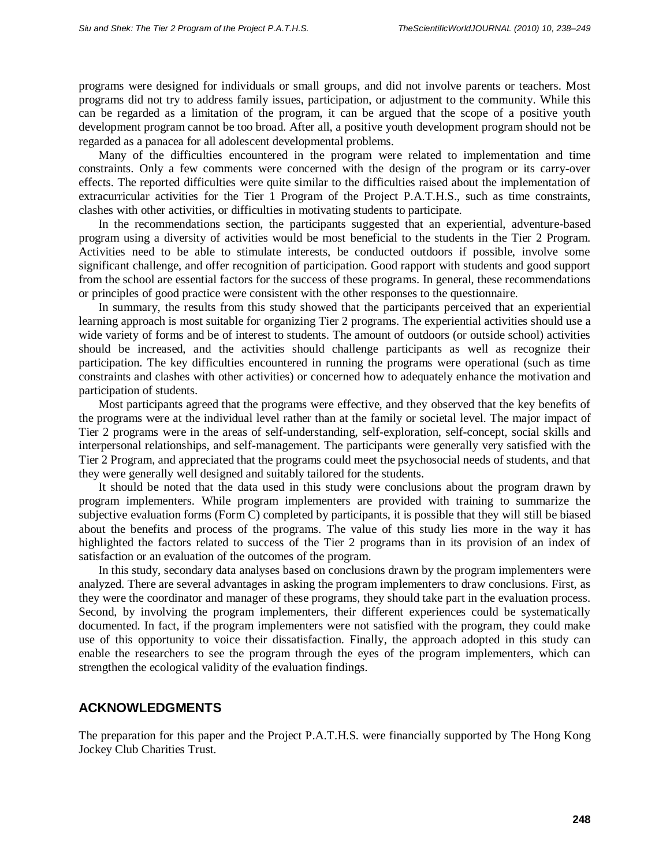programs were designed for individuals or small groups, and did not involve parents or teachers. Most programs did not try to address family issues, participation, or adjustment to the community. While this can be regarded as a limitation of the program, it can be argued that the scope of a positive youth development program cannot be too broad. After all, a positive youth development program should not be regarded as a panacea for all adolescent developmental problems.

Many of the difficulties encountered in the program were related to implementation and time constraints. Only a few comments were concerned with the design of the program or its carry-over effects. The reported difficulties were quite similar to the difficulties raised about the implementation of extracurricular activities for the Tier 1 Program of the Project P.A.T.H.S., such as time constraints, clashes with other activities, or difficulties in motivating students to participate.

In the recommendations section, the participants suggested that an experiential, adventure-based program using a diversity of activities would be most beneficial to the students in the Tier 2 Program. Activities need to be able to stimulate interests, be conducted outdoors if possible, involve some significant challenge, and offer recognition of participation. Good rapport with students and good support from the school are essential factors for the success of these programs. In general, these recommendations or principles of good practice were consistent with the other responses to the questionnaire.

In summary, the results from this study showed that the participants perceived that an experiential learning approach is most suitable for organizing Tier 2 programs. The experiential activities should use a wide variety of forms and be of interest to students. The amount of outdoors (or outside school) activities should be increased, and the activities should challenge participants as well as recognize their participation. The key difficulties encountered in running the programs were operational (such as time constraints and clashes with other activities) or concerned how to adequately enhance the motivation and participation of students.

Most participants agreed that the programs were effective, and they observed that the key benefits of the programs were at the individual level rather than at the family or societal level. The major impact of Tier 2 programs were in the areas of self-understanding, self-exploration, self-concept, social skills and interpersonal relationships, and self-management. The participants were generally very satisfied with the Tier 2 Program, and appreciated that the programs could meet the psychosocial needs of students, and that they were generally well designed and suitably tailored for the students.

It should be noted that the data used in this study were conclusions about the program drawn by program implementers. While program implementers are provided with training to summarize the subjective evaluation forms (Form C) completed by participants, it is possible that they will still be biased about the benefits and process of the programs. The value of this study lies more in the way it has highlighted the factors related to success of the Tier 2 programs than in its provision of an index of satisfaction or an evaluation of the outcomes of the program.

In this study, secondary data analyses based on conclusions drawn by the program implementers were analyzed. There are several advantages in asking the program implementers to draw conclusions. First, as they were the coordinator and manager of these programs, they should take part in the evaluation process. Second, by involving the program implementers, their different experiences could be systematically documented. In fact, if the program implementers were not satisfied with the program, they could make use of this opportunity to voice their dissatisfaction. Finally, the approach adopted in this study can enable the researchers to see the program through the eyes of the program implementers, which can strengthen the ecological validity of the evaluation findings.

#### **ACKNOWLEDGMENTS**

The preparation for this paper and the Project P.A.T.H.S. were financially supported by The Hong Kong Jockey Club Charities Trust.